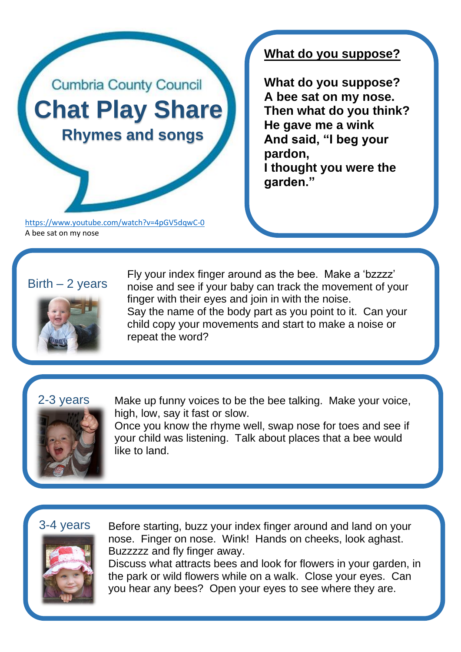

<https://www.youtube.com/watch?v=4pGV5dqwC-0> A bee sat on my nose

# **What do you suppose?**

**What do you suppose? A bee sat on my nose. Then what do you think? He gave me a wink And said, "I beg your pardon, I thought you were the garden."**

## $Birth - 2 \text{ years}$



Fly your index finger around as the bee. Make a 'bzzzz' noise and see if your baby can track the movement of your finger with their eyes and join in with the noise. Say the name of the body part as you point to it. Can your child copy your movements and start to make a noise or repeat the word?

### 2-3 years



Make up funny voices to be the bee talking. Make your voice, high, low, say it fast or slow.

Once you know the rhyme well, swap nose for toes and see if your child was listening. Talk about places that a bee would like to land.

### 3-4 years



Before starting, buzz your index finger around and land on your nose. Finger on nose. Wink! Hands on cheeks, look aghast. Buzzzzz and fly finger away.

Discuss what attracts bees and look for flowers in your garden, in the park or wild flowers while on a walk. Close your eyes. Can you hear any bees? Open your eyes to see where they are.